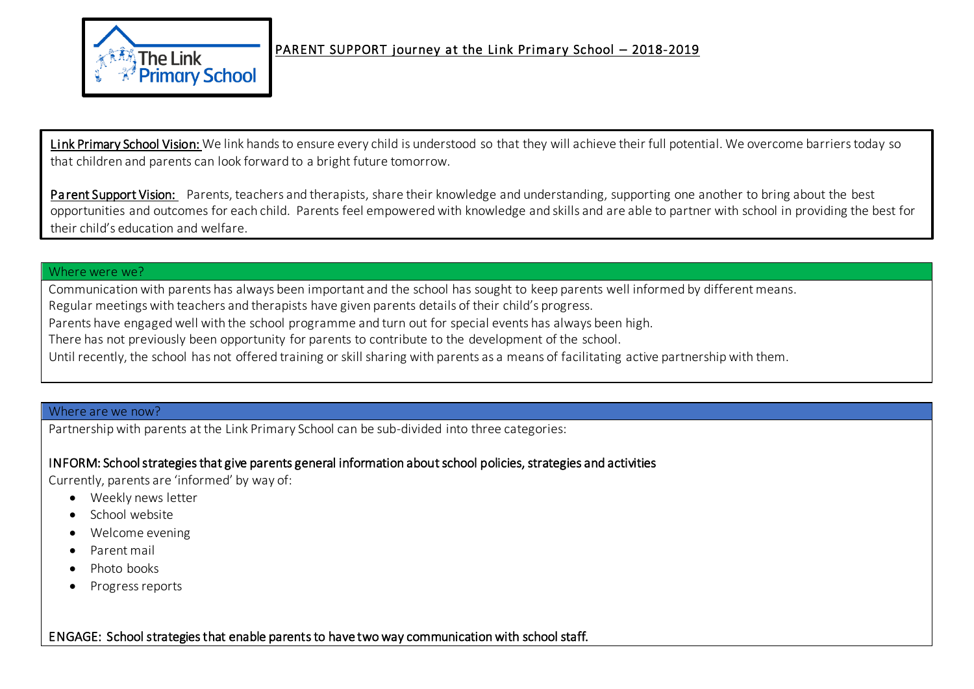

Link Primary School Vision: We link hands to ensure every child is understood so that they will achieve their full potential. We overcome barriers today so that children and parents can look forward to a bright future tomorrow.

Parent Support Vision: Parents, teachers and therapists, share their knowledge and understanding, supporting one another to bring about the best opportunities and outcomes for each child. Parents feel empowered with knowledge and skills and are able to partner with school in providing the best for their child's education and welfare.

#### Where were we?

Communication with parents has always been important and the school has sought to keep parents well informed by different means.

Regular meetings with teachers and therapists have given parents details of their child's progress.

Parents have engaged well with the school programme and turn out for special events has always been high.

There has not previously been opportunity for parents to contribute to the development of the school.

Until recently, the school has not offered training or skill sharing with parents as a means of facilitating active partnership with them.

#### Where are we now?

Partnership with parents at the Link Primary School can be sub-divided into three categories:

# INFORM: School strategies that give parents general information about school policies, strategies and activities

Currently, parents are 'informed' by way of:

- Weekly news letter
- School website
- Welcome evening
- Parent mail
- Photo books
- Progress reports

ENGAGE: School strategies that enable parents to have two way communication with school staff.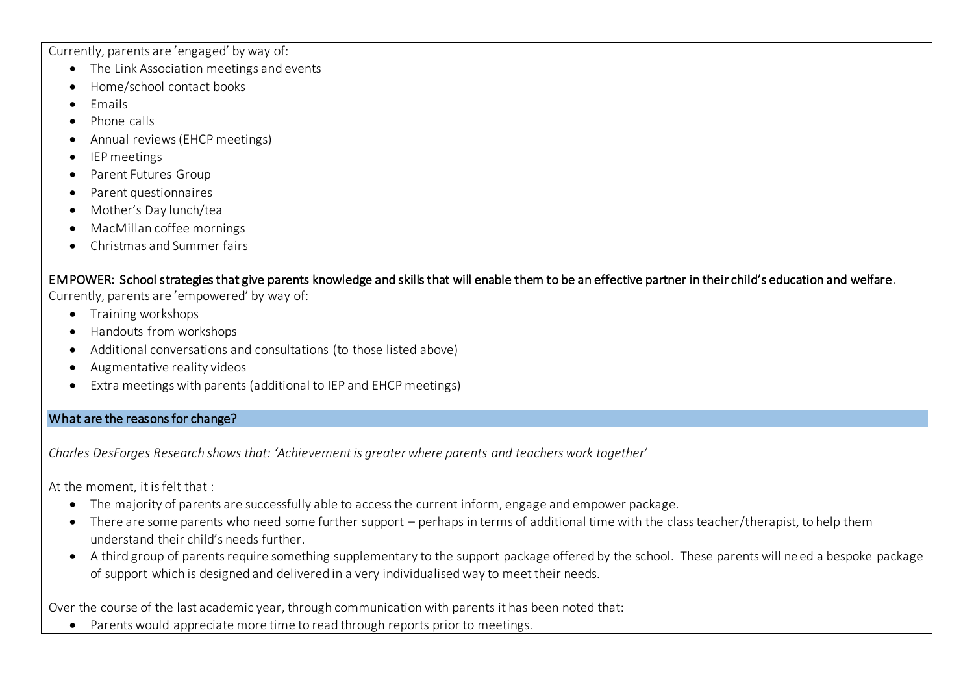Currently, parents are 'engaged' by way of:

- The Link Association meetings and events
- Home/school contact books
- Emails
- Phone calls
- Annual reviews (EHCP meetings)
- IEP meetings
- Parent Futures Group
- Parent questionnaires
- Mother's Day lunch/tea
- MacMillan coffee mornings
- Christmas and Summer fairs

EMPOWER: School strategies that give parents knowledge and skills that will enable them to be an effective partner in their child's education and welfare. Currently, parents are 'empowered' by way of:

- Training workshops
- Handouts from workshops
- Additional conversations and consultations (to those listed above)
- Augmentative reality videos
- Extra meetings with parents (additional to IEP and EHCP meetings)

# What are the reasons for change?

*Charles DesForges Research shows that: 'Achievement is greater where parents and teachers work together'* 

At the moment, it is felt that :

- The majority of parents are successfully able to access the current inform, engage and empower package.
- There are some parents who need some further support perhaps in terms of additional time with the class teacher/therapist, to help them understand their child's needs further.
- A third group of parents require something supplementary to the support package offered by the school. These parents will need a bespoke package of support which is designed and delivered in a very individualised way to meet their needs.

Over the course of the last academic year, through communication with parents it has been noted that:

Parents would appreciate more time to read through reports prior to meetings.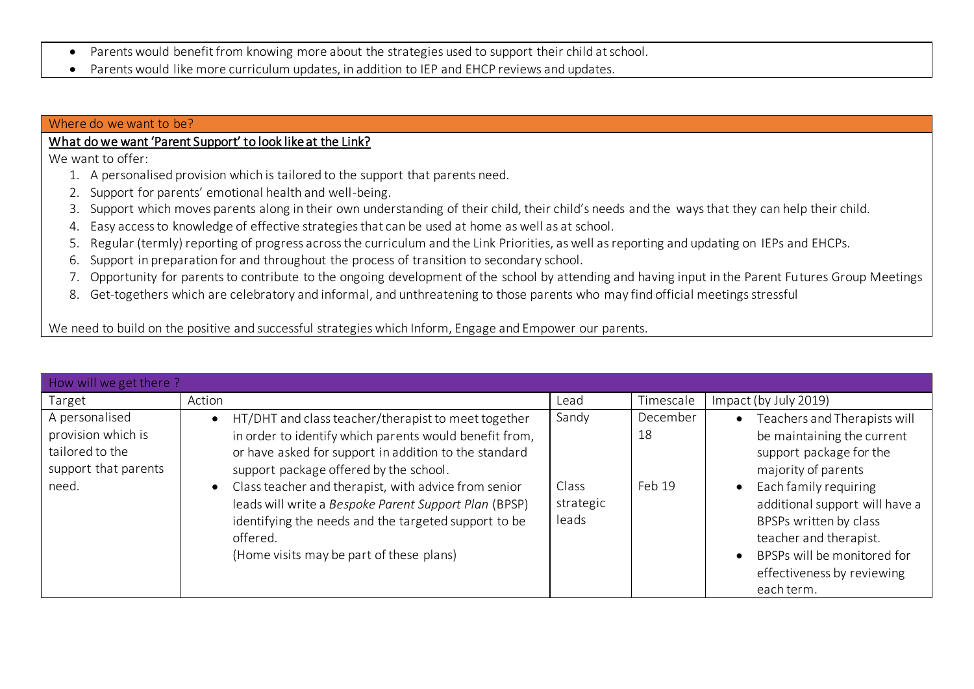- Parents would benefit from knowing more about the strategies used to support their child at school.
- Parents would like more curriculum updates, in addition to IEP and EHCP reviews and updates.

#### Where do we want to be?

# What do we want 'Parent Support' to look like at the Link?

We want to offer:

- 1. A personalised provision which is tailored to the support that parents need.
- 2. Support for parents' emotional health and well-being.
- 3. Support which moves parents along in their own understanding of their child, their child's needs and the ways that they can help their child.
- 4. Easy access to knowledge of effective strategies that can be used at home as well as at school.
- 5. Regular (termly) reporting of progress across the curriculum and the Link Priorities, as well as reporting and updating on IEPs and EHCPs.
- 6. Support in preparation for and throughout the process of transition to secondary school.
- 7. Opportunity for parents to contribute to the ongoing development of the school by attending and having input in the Parent Futures Group Meetings
- 8. Get-togethers which are celebratory and informal, and unthreatening to those parents who may find official meetings stressful

We need to build on the positive and successful strategies which Inform, Engage and Empower our parents.

| How will we get there?                                                                   |                                                                                                                                                                                                                                                                                                                                                                                                                                                                  |                                      |                          |                                                                                                                                                                                                                                                                                                                                               |  |  |
|------------------------------------------------------------------------------------------|------------------------------------------------------------------------------------------------------------------------------------------------------------------------------------------------------------------------------------------------------------------------------------------------------------------------------------------------------------------------------------------------------------------------------------------------------------------|--------------------------------------|--------------------------|-----------------------------------------------------------------------------------------------------------------------------------------------------------------------------------------------------------------------------------------------------------------------------------------------------------------------------------------------|--|--|
| Target                                                                                   | Action                                                                                                                                                                                                                                                                                                                                                                                                                                                           | Lead                                 | Timescale                | Impact (by July 2019)                                                                                                                                                                                                                                                                                                                         |  |  |
| A personalised<br>provision which is<br>tailored to the<br>support that parents<br>need. | • HT/DHT and class teacher/therapist to meet together<br>in order to identify which parents would benefit from,<br>or have asked for support in addition to the standard<br>support package offered by the school.<br>Class teacher and therapist, with advice from senior<br>$\bullet$<br>leads will write a Bespoke Parent Support Plan (BPSP)<br>identifying the needs and the targeted support to be<br>offered.<br>(Home visits may be part of these plans) | Sandy<br>Class<br>strategic<br>leads | December<br>18<br>Feb 19 | Teachers and Therapists will<br>$\bullet$<br>be maintaining the current<br>support package for the<br>majority of parents<br>Each family requiring<br>$\bullet$<br>additional support will have a<br>BPSPs written by class<br>teacher and therapist.<br>BPSPs will be monitored for<br>$\bullet$<br>effectiveness by reviewing<br>each term. |  |  |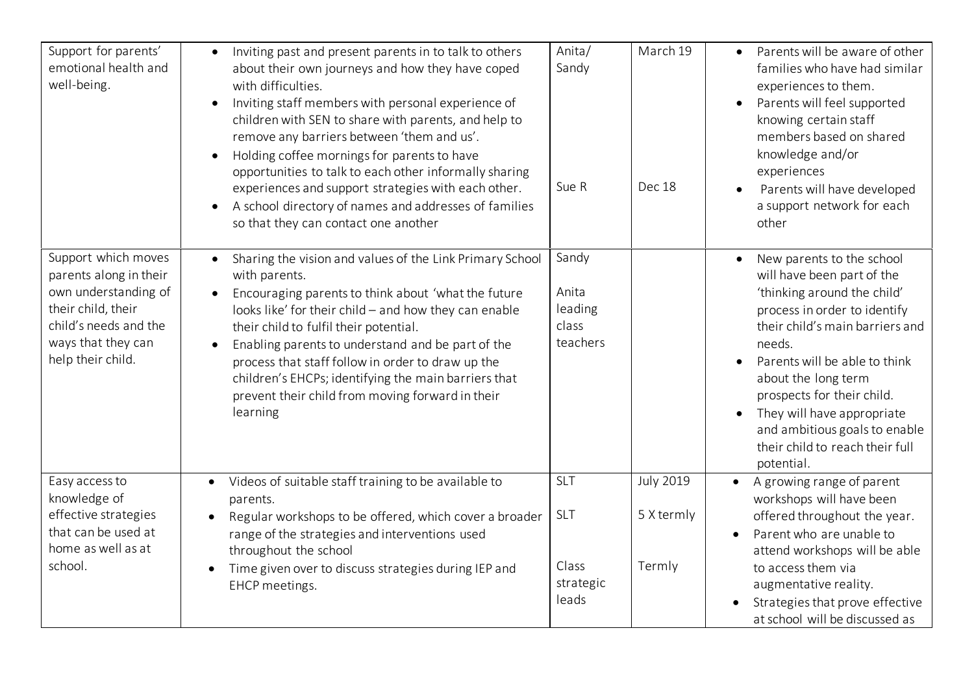| Support for parents'<br>emotional health and<br>well-being.                                                                                                     | Inviting past and present parents in to talk to others<br>$\bullet$<br>about their own journeys and how they have coped<br>with difficulties.<br>Inviting staff members with personal experience of<br>$\bullet$<br>children with SEN to share with parents, and help to<br>remove any barriers between 'them and us'.<br>Holding coffee mornings for parents to have<br>$\bullet$<br>opportunities to talk to each other informally sharing<br>experiences and support strategies with each other.<br>A school directory of names and addresses of families<br>so that they can contact one another | Anita/<br>Sandy<br>Sue R                         | March 19<br>Dec 18                       | Parents will be aware of other<br>$\bullet$<br>families who have had similar<br>experiences to them.<br>Parents will feel supported<br>knowing certain staff<br>members based on shared<br>knowledge and/or<br>experiences<br>Parents will have developed<br>a support network for each<br>other                                                                                                    |
|-----------------------------------------------------------------------------------------------------------------------------------------------------------------|------------------------------------------------------------------------------------------------------------------------------------------------------------------------------------------------------------------------------------------------------------------------------------------------------------------------------------------------------------------------------------------------------------------------------------------------------------------------------------------------------------------------------------------------------------------------------------------------------|--------------------------------------------------|------------------------------------------|-----------------------------------------------------------------------------------------------------------------------------------------------------------------------------------------------------------------------------------------------------------------------------------------------------------------------------------------------------------------------------------------------------|
| Support which moves<br>parents along in their<br>own understanding of<br>their child, their<br>child's needs and the<br>ways that they can<br>help their child. | Sharing the vision and values of the Link Primary School<br>$\bullet$<br>with parents.<br>Encouraging parents to think about 'what the future<br>looks like' for their child - and how they can enable<br>their child to fulfil their potential.<br>Enabling parents to understand and be part of the<br>$\bullet$<br>process that staff follow in order to draw up the<br>children's EHCPs; identifying the main barriers that<br>prevent their child from moving forward in their<br>learning                                                                                                      | Sandy<br>Anita<br>leading<br>class<br>teachers   |                                          | New parents to the school<br>$\bullet$<br>will have been part of the<br>'thinking around the child'<br>process in order to identify<br>their child's main barriers and<br>needs.<br>Parents will be able to think<br>about the long term<br>prospects for their child.<br>They will have appropriate<br>$\bullet$<br>and ambitious goals to enable<br>their child to reach their full<br>potential. |
| Easy access to<br>knowledge of<br>effective strategies<br>that can be used at<br>home as well as at<br>school.                                                  | Videos of suitable staff training to be available to<br>parents.<br>Regular workshops to be offered, which cover a broader<br>$\bullet$<br>range of the strategies and interventions used<br>throughout the school<br>Time given over to discuss strategies during IEP and<br>$\bullet$<br>EHCP meetings.                                                                                                                                                                                                                                                                                            | SLT<br><b>SLT</b><br>Class<br>strategic<br>leads | <b>July 2019</b><br>5 X termly<br>Termly | A growing range of parent<br>workshops will have been<br>offered throughout the year.<br>Parent who are unable to<br>attend workshops will be able<br>to access them via<br>augmentative reality.<br>Strategies that prove effective<br>at school will be discussed as                                                                                                                              |